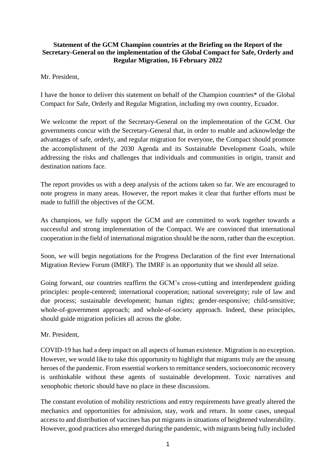## **Statement of the GCM Champion countries at the Briefing on the Report of the Secretary-General on the implementation of the Global Compact for Safe, Orderly and Regular Migration, 16 February 2022**

Mr. President,

I have the honor to deliver this statement on behalf of the Champion countries\* of the Global Compact for Safe, Orderly and Regular Migration, including my own country, Ecuador.

We welcome the report of the Secretary-General on the implementation of the GCM. Our governments concur with the Secretary-General that, in order to enable and acknowledge the advantages of safe, orderly, and regular migration for everyone, the Compact should promote the accomplishment of the 2030 Agenda and its Sustainable Development Goals, while addressing the risks and challenges that individuals and communities in origin, transit and destination nations face.

The report provides us with a deep analysis of the actions taken so far. We are encouraged to note progress in many areas. However, the report makes it clear that further efforts must be made to fulfill the objectives of the GCM.

As champions, we fully support the GCM and are committed to work together towards a successful and strong implementation of the Compact. We are convinced that international cooperation in the field of international migration should be the norm, rather than the exception.

Soon, we will begin negotiations for the Progress Declaration of the first ever International Migration Review Forum (IMRF). The IMRF is an opportunity that we should all seize.

Going forward, our countries reaffirm the GCM's cross-cutting and interdependent guiding principles: people-centered; international cooperation; national sovereignty; rule of law and due process; sustainable development; human rights; gender-responsive; child-sensitive; whole-of-government approach; and whole-of-society approach. Indeed, these principles, should guide migration policies all across the globe.

Mr. President,

COVID-19 has had a deep impact on all aspects of human existence. Migration is no exception. However, we would like to take this opportunity to highlight that migrants truly are the unsung heroes of the pandemic. From essential workers to remittance senders, socioeconomic recovery is unthinkable without these agents of sustainable development. Toxic narratives and xenophobic rhetoric should have no place in these discussions.

The constant evolution of mobility restrictions and entry requirements have greatly altered the mechanics and opportunities for admission, stay, work and return. In some cases, unequal access to and distribution of vaccines has put migrants in situations of heightened vulnerability. However, good practices also emerged during the pandemic, with migrants being fully included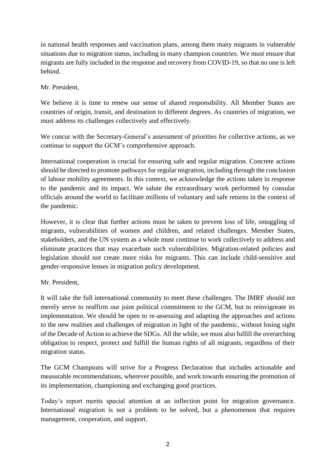in national health responses and vaccination plans, among them many migrants in vulnerable situations due to migration status, including in many champion countries. We must ensure that migrants are fully included in the response and recovery from COVID-19, so that no one is left behind.

Mr. President,

We believe it is time to renew our sense of shared responsibility. All Member States are countries of origin, transit, and destination to different degrees. As countries of migration, we must address its challenges collectively and effectively.

We concur with the Secretary-General's assessment of priorities for collective actions, as we continue to support the GCM's comprehensive approach.

International cooperation is crucial for ensuring safe and regular migration. Concrete actions should be directed to promote pathways for regular migration, including through the conclusion of labour mobility agreements. In this context, we acknowledge the actions taken in response to the pandemic and its impact. We salute the extraordinary work performed by consular officials around the world to facilitate millions of voluntary and safe returns in the context of the pandemic.

However, it is clear that further actions must be taken to prevent loss of life, smuggling of migrants, vulnerabilities of women and children, and related challenges. Member States, stakeholders, and the UN system as a whole must continue to work collectively to address and eliminate practices that may exacerbate such vulnerabilities. Migration-related policies and legislation should not create more risks for migrants. This can include child-sensitive and gender-responsive lenses in migration policy development.

## Mr. President,

It will take the full international community to meet these challenges. The IMRF should not merely serve to reaffirm our joint political commitment to the GCM, but to reinvigorate its implementation. We should be open to re-assessing and adapting the approaches and actions to the new realities and challenges of migration in light of the pandemic, without losing sight of the Decade of Action to achieve the SDGs. All the while, we must also fulfill the overarching obligation to respect, protect and fulfill the human rights of all migrants, regardless of their migration status.

The GCM Champions will strive for a Progress Declaration that includes actionable and measurable recommendations, wherever possible, and work towards ensuring the promotion of its implementation, championing and exchanging good practices.

Today's report merits special attention at an inflection point for migration governance. International migration is not a problem to be solved, but a phenomenon that requires management, cooperation, and support.